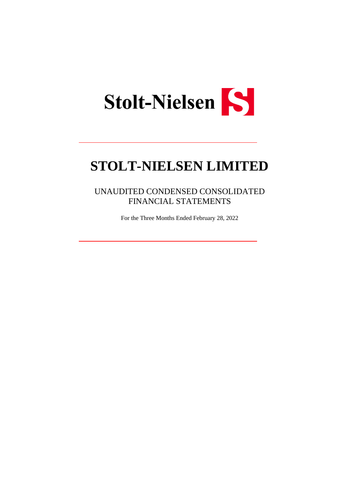

UNAUDITED CONDENSED CONSOLIDATED FINANCIAL STATEMENTS

For the Three Months Ended February 28, 2022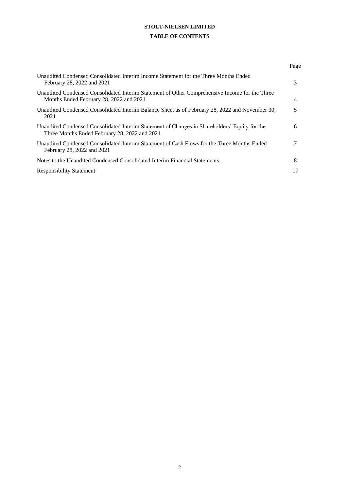# **STOLT-NIELSEN LIMITED TABLE OF CONTENTS**

|                                                                                                                                                | Page |
|------------------------------------------------------------------------------------------------------------------------------------------------|------|
| Unaudited Condensed Consolidated Interim Income Statement for the Three Months Ended<br>February 28, 2022 and 2021                             | 3    |
| Unaudited Condensed Consolidated Interim Statement of Other Comprehensive Income for the Three<br>Months Ended February 28, 2022 and 2021      | 4    |
| Unaudited Condensed Consolidated Interim Balance Sheet as of February 28, 2022 and November 30,<br>2021                                        | 5    |
| Unaudited Condensed Consolidated Interim Statement of Changes in Shareholders' Equity for the<br>Three Months Ended February 28, 2022 and 2021 | 6    |
| Unaudited Condensed Consolidated Interim Statement of Cash Flows for the Three Months Ended<br>February 28, 2022 and 2021                      |      |
| Notes to the Unaudited Condensed Consolidated Interim Financial Statements                                                                     | 8    |
| <b>Responsibility Statement</b>                                                                                                                |      |
|                                                                                                                                                |      |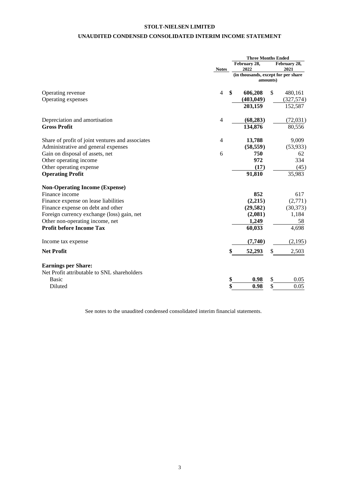## **UNAUDITED CONDENSED CONSOLIDATED INTERIM INCOME STATEMENT**

|                                                  |                      |                      | <b>Three Months Ended</b>                       |  |  |
|--------------------------------------------------|----------------------|----------------------|-------------------------------------------------|--|--|
|                                                  | <b>Notes</b>         | February 28,<br>2022 | February 28,<br>2021                            |  |  |
|                                                  |                      |                      | (in thousands, except for per share<br>amounts) |  |  |
| Operating revenue                                | $\overline{4}$<br>\$ | 606,208              | \$<br>480,161                                   |  |  |
| Operating expenses                               |                      | (403, 049)           | (327, 574)                                      |  |  |
|                                                  |                      | 203,159              | 152,587                                         |  |  |
| Depreciation and amortisation                    | $\overline{4}$       | (68, 283)            | (72, 031)                                       |  |  |
| <b>Gross Profit</b>                              |                      | 134,876              | 80,556                                          |  |  |
| Share of profit of joint ventures and associates | 4                    | 13,788               | 9,009                                           |  |  |
| Administrative and general expenses              |                      | (58, 559)            | (53, 933)                                       |  |  |
| Gain on disposal of assets, net                  | 6                    | 750                  | 62                                              |  |  |
| Other operating income                           |                      | 972                  | 334                                             |  |  |
| Other operating expense                          |                      | (17)                 | (45)                                            |  |  |
| <b>Operating Profit</b>                          |                      | 91,810               | 35,983                                          |  |  |
| <b>Non-Operating Income (Expense)</b>            |                      |                      |                                                 |  |  |
| Finance income                                   |                      | 852                  | 617                                             |  |  |
| Finance expense on lease liabilities             |                      | (2,215)              | (2,771)                                         |  |  |
| Finance expense on debt and other                |                      | (29, 582)            | (30, 373)                                       |  |  |
| Foreign currency exchange (loss) gain, net       |                      | (2,081)              | 1,184                                           |  |  |
| Other non-operating income, net                  |                      | 1,249                | 58                                              |  |  |
| <b>Profit before Income Tax</b>                  |                      | 60,033               | 4,698                                           |  |  |
| Income tax expense                               |                      | (7,740)              | (2,195)                                         |  |  |
| <b>Net Profit</b>                                |                      | 52,293               | 2,503<br>S                                      |  |  |
| <b>Earnings per Share:</b>                       |                      |                      |                                                 |  |  |
| Net Profit attributable to SNL shareholders      |                      |                      |                                                 |  |  |
| <b>Basic</b>                                     | \$                   | 0.98                 | 0.05<br>\$                                      |  |  |
| Diluted                                          |                      | 0.98                 | \$<br>0.05                                      |  |  |
|                                                  |                      |                      |                                                 |  |  |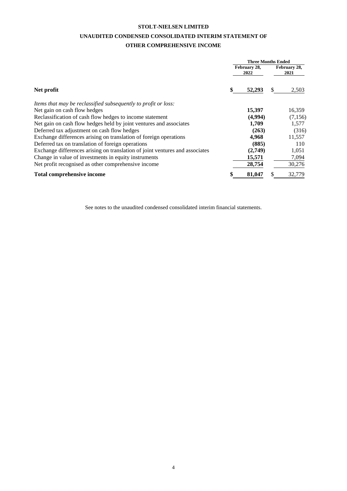# **UNAUDITED CONDENSED CONSOLIDATED INTERIM STATEMENT OF**

## **OTHER COMPREHENSIVE INCOME**

|                                                                              | <b>Three Months Ended</b> |    |                      |  |  |
|------------------------------------------------------------------------------|---------------------------|----|----------------------|--|--|
|                                                                              | February 28,<br>2022      |    | February 28,<br>2021 |  |  |
| Net profit                                                                   | \$<br>52,293              | S. | 2,503                |  |  |
| Items that may be reclassified subsequently to profit or loss:               |                           |    |                      |  |  |
| Net gain on cash flow hedges                                                 | 15,397                    |    | 16,359               |  |  |
| Reclassification of cash flow hedges to income statement                     | (4,994)                   |    | (7,156)              |  |  |
| Net gain on cash flow hedges held by joint ventures and associates           | 1,709                     |    | 1,577                |  |  |
| Deferred tax adjustment on cash flow hedges                                  | (263)                     |    | (316)                |  |  |
| Exchange differences arising on translation of foreign operations            | 4,968                     |    | 11,557               |  |  |
| Deferred tax on translation of foreign operations                            | (885)                     |    | 110                  |  |  |
| Exchange differences arising on translation of joint ventures and associates | (2,749)                   |    | 1,051                |  |  |
| Change in value of investments in equity instruments                         | 15,571                    |    | 7,094                |  |  |
| Net profit recognised as other comprehensive income                          | 28,754                    |    | 30,276               |  |  |
| <b>Total comprehensive income</b>                                            | \$<br>81,047              | \$ | 32.779               |  |  |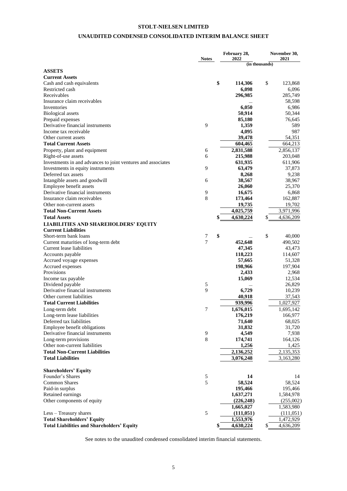## **UNAUDITED CONDENSED CONSOLIDATED INTERIM BALANCE SHEET**

|                                                                   |              |    | February 28,<br>2022 |                | November 30,<br>2021 |  |
|-------------------------------------------------------------------|--------------|----|----------------------|----------------|----------------------|--|
|                                                                   | <b>Notes</b> |    |                      | (in thousands) |                      |  |
| <b>ASSETS</b>                                                     |              |    |                      |                |                      |  |
| <b>Current Assets</b>                                             |              |    |                      |                |                      |  |
| Cash and cash equivalents                                         |              | \$ | 114,306              | \$             | 123,868              |  |
| Restricted cash                                                   |              |    | 6,098                |                | 6,096                |  |
| Receivables                                                       |              |    | 296,985              |                | 285,749              |  |
| Insurance claim receivables                                       |              |    |                      |                | 58,598               |  |
| Inventories                                                       |              |    | 6,050                |                | 6,986                |  |
| <b>Biological</b> assets                                          |              |    | 50,914               |                | 50,344               |  |
| Prepaid expenses                                                  |              |    | 85,180               |                | 76,645               |  |
| Derivative financial instruments                                  | 9            |    | 1,359                |                | 589                  |  |
| Income tax receivable                                             |              |    | 4,095                |                | 987                  |  |
| Other current assets                                              |              |    | 39,478               |                | 54,351               |  |
| <b>Total Current Assets</b>                                       |              |    | 604,465              |                | 664,213              |  |
| Property, plant and equipment                                     | 6            |    | 2,831,588            |                | 2,856,137            |  |
| Right-of-use assets                                               | 6            |    | 215,988              |                | 203,048              |  |
| Investments in and advances to joint ventures and associates      |              |    | 631,935              |                | 611,906              |  |
| Investments in equity instruments                                 | 9            |    | 63,479               |                | 37,873               |  |
| Deferred tax assets                                               |              |    | 8,268                |                | 9,238                |  |
| Intangible assets and goodwill                                    | 6            |    | 38,567<br>26,060     |                | 38,967<br>25,370     |  |
| Employee benefit assets<br>Derivative financial instruments       | 9            |    | 16,675               |                |                      |  |
| Insurance claim receivables                                       | 8            |    | 173,464              |                | 6,868                |  |
| Other non-current assets                                          |              |    |                      |                | 162,887              |  |
| <b>Total Non-Current Assets</b>                                   |              |    | 19,735<br>4,025,759  |                | 19,702<br>3,971,996  |  |
|                                                                   |              | \$ |                      | \$             |                      |  |
| <b>Total Assets</b>                                               |              |    | 4,630,224            |                | 4,636,209            |  |
| <b>LIABILITIES AND SHAREHOLDERS' EQUITY</b>                       |              |    |                      |                |                      |  |
| <b>Current Liabilities</b>                                        |              | \$ |                      | \$             | 40,000               |  |
| Short-term bank loans                                             | 7<br>7       |    | 452,648              |                | 490,502              |  |
| Current maturities of long-term debt<br>Current lease liabilities |              |    | 47,345               |                | 43,473               |  |
| Accounts payable                                                  |              |    | 118,223              |                | 114,607              |  |
| Accrued voyage expenses                                           |              |    | 57,665               |                | 51,328               |  |
| Accrued expenses                                                  |              |    | 198,966              |                | 197,904              |  |
| Provisions                                                        |              |    | 2,433                |                | 2,968                |  |
| Income tax payable                                                |              |    | 15,069               |                | 12,534               |  |
| Dividend payable                                                  | 5            |    |                      |                | 26,829               |  |
| Derivative financial instruments                                  | 9            |    | 6,729                |                | 10,239               |  |
| Other current liabilities                                         |              |    | 40,918               |                | 37,543               |  |
| <b>Total Current Liabilities</b>                                  |              |    | 939,996              |                | 1,027,927            |  |
| Long-term debt                                                    | 7            |    | 1,676,015            |                | 1,695,142            |  |
| Long-term lease liabilities                                       |              |    | 176,219              |                | 166,977              |  |
| Deferred tax liabilities                                          |              |    | 71,640               |                | 68,025               |  |
| Employee benefit obligations                                      |              |    | 31,832               |                | 31,720               |  |
| Derivative financial instruments                                  | 9            |    | 4,549                |                | 7,938                |  |
| Long-term provisions                                              | $\,8\,$      |    | 174,741              |                | 164,126              |  |
| Other non-current liabilities                                     |              |    | 1,256                |                | 1,425                |  |
| <b>Total Non-Current Liabilities</b>                              |              |    | 2,136,252            |                | 2,135,353            |  |
| <b>Total Liabilities</b>                                          |              |    | 3,076,248            |                | 3,163,280            |  |
|                                                                   |              |    |                      |                |                      |  |
| <b>Shareholders' Equity</b>                                       |              |    |                      |                |                      |  |
| Founder's Shares                                                  | $\sqrt{5}$   |    | 14                   |                | 14                   |  |
| <b>Common Shares</b>                                              | 5            |    | 58,524               |                | 58,524               |  |
| Paid-in surplus                                                   |              |    | 195,466              |                | 195,466              |  |
| Retained earnings                                                 |              |    | 1,637,271            |                | 1,584,978            |  |
| Other components of equity                                        |              |    | (226, 248)           |                | (255,002)            |  |
|                                                                   |              |    | 1,665,027            |                | 1,583,980            |  |
| Less - Treasury shares                                            | 5            |    | (111, 051)           |                | (111,051)            |  |
| <b>Total Shareholders' Equity</b>                                 |              |    | 1,553,976            |                | 1,472,929            |  |
| <b>Total Liabilities and Shareholders' Equity</b>                 |              | \$ | 4,630,224            | \$             | 4,636,209            |  |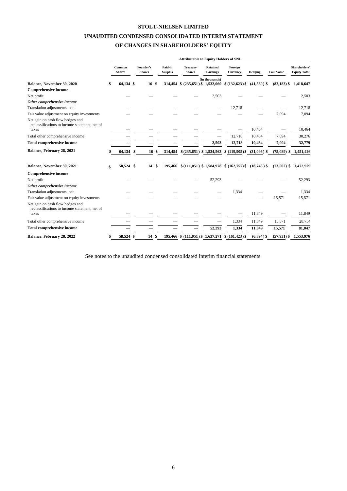# **UNAUDITED CONDENSED CONSOLIDATED INTERIM STATEMENT**

## **OF CHANGES IN SHAREHOLDERS' EQUITY**

|                                                                                            | <b>Attributable to Equity Holders of SNL</b> |               |                            |    |                           |                                  |                                    |                                                   |               |                   |                                      |
|--------------------------------------------------------------------------------------------|----------------------------------------------|---------------|----------------------------|----|---------------------------|----------------------------------|------------------------------------|---------------------------------------------------|---------------|-------------------|--------------------------------------|
|                                                                                            | Common<br><b>Shares</b>                      |               | Founder's<br><b>Shares</b> |    | Paid-in<br><b>Surplus</b> | <b>Treasury</b><br><b>Shares</b> | <b>Retained</b><br><b>Earnings</b> | Foreign<br>Currency                               | Hedging       | <b>Fair Value</b> | Shareholders'<br><b>Equity Total</b> |
| Balance, November 30, 2020                                                                 | 64,134 \$                                    |               | 16 <sup>°</sup>            |    | 314,454                   | \$                               | (in thousands)                     | $(235,651)$ \$1,532,060 \$ $(132,623)$ \$         | $(41,560)$ \$ | $(82, 183)$ \$    | 1,418,647                            |
| <b>Comprehensive income</b>                                                                |                                              |               |                            |    |                           |                                  |                                    |                                                   |               |                   |                                      |
| Net profit                                                                                 |                                              |               |                            |    |                           |                                  | 2,503                              |                                                   |               |                   | 2,503                                |
| Other comprehensive income                                                                 |                                              |               |                            |    |                           |                                  |                                    |                                                   |               |                   |                                      |
| Translation adjustments, net                                                               |                                              |               |                            |    |                           |                                  |                                    | 12,718                                            |               |                   | 12,718                               |
| Fair value adjustment on equity investments                                                |                                              |               |                            |    |                           |                                  |                                    |                                                   |               | 7,094             | 7,094                                |
| Net gain on cash flow hedges and<br>reclassifications to income statement, net of<br>taxes |                                              |               |                            |    |                           |                                  |                                    |                                                   | 10,464        |                   | 10,464                               |
| Total other comprehensive income                                                           |                                              |               |                            |    |                           |                                  | $\overline{\phantom{0}}$           | 12,718                                            | 10,464        | 7,094             | 30,276                               |
| <b>Total comprehensive income</b>                                                          |                                              |               |                            |    |                           |                                  | 2,503                              | 12,718                                            | 10,464        | 7,094             | 32,779                               |
| Balance, February 28, 2021                                                                 | 64,134                                       | <sup>\$</sup> | 16                         | \$ | 314,454                   | \$(235,651) \$ 1,534,563         |                                    | $$(119,905)$ \$                                   | $(31,096)$ \$ | $(75,089)$ \$     | 1,451,426                            |
| Balance, November 30, 2021                                                                 | \$<br>58,524 \$                              |               | 14                         | S. |                           |                                  |                                    | 195,466 \$(111,051) \$1,584,978 \$(162,757) \$    | $(18,743)$ \$ | $(73,502)$ \$     | 1,472,929                            |
| <b>Comprehensive income</b>                                                                |                                              |               |                            |    |                           |                                  |                                    |                                                   |               |                   |                                      |
| Net profit                                                                                 |                                              |               |                            |    |                           |                                  | 52,293                             |                                                   |               |                   | 52,293                               |
| Other comprehensive income                                                                 |                                              |               |                            |    |                           |                                  |                                    |                                                   |               |                   |                                      |
| Translation adjustments, net                                                               |                                              |               |                            |    |                           |                                  |                                    | 1,334                                             |               |                   | 1,334                                |
| Fair value adjustment on equity investments                                                |                                              |               |                            |    |                           |                                  |                                    |                                                   |               | 15,571            | 15,571                               |
| Net gain on cash flow hedges and<br>reclassifications to income statement, net of<br>taxes |                                              |               |                            |    |                           |                                  |                                    |                                                   | 11,849        |                   | 11,849                               |
| Total other comprehensive income                                                           |                                              |               |                            |    |                           |                                  |                                    | 1,334                                             | 11,849        | 15,571            | 28,754                               |
| <b>Total comprehensive income</b>                                                          |                                              |               |                            |    |                           |                                  | 52,293                             | 1,334                                             | 11,849        | 15,571            | 81,047                               |
| Balance, February 28, 2022                                                                 | 58,524 \$                                    |               | 14                         | \$ |                           |                                  |                                    | 195,466 \$ (111,051) \$ 1,637,271 \$ (161,423) \$ | $(6,894)$ \$  | $(57, 931)$ \$    | 1,553,976                            |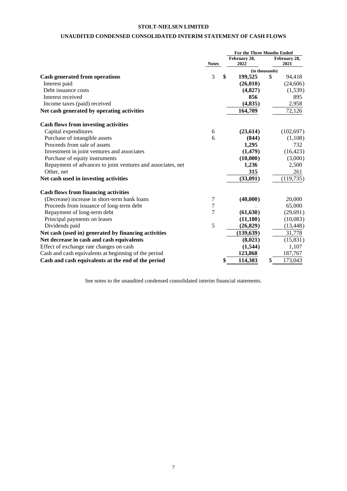## **UNAUDITED CONDENSED CONSOLIDATED INTERIM STATEMENT OF CASH FLOWS**

|                                                             |                | <b>For the Three Months Ended</b> |                      |
|-------------------------------------------------------------|----------------|-----------------------------------|----------------------|
|                                                             | <b>Notes</b>   | February 28,<br>2022              | February 28,<br>2021 |
|                                                             |                | (in thousands)                    |                      |
| <b>Cash generated from operations</b>                       | 3              | \$<br>199,525                     | \$<br>94,418         |
| Interest paid                                               |                | (26, 010)                         | (24, 606)            |
| Debt issuance costs                                         |                | (4, 827)                          | (1, 539)             |
| Interest received                                           |                | 856                               | 895                  |
| Income taxes (paid) received                                |                | (4, 835)                          | 2,958                |
| Net cash generated by operating activities                  |                | 164,709                           | 72,126               |
| <b>Cash flows from investing activities</b>                 |                |                                   |                      |
| Capital expenditures                                        | 6              | (23, 614)                         | (102, 697)           |
| Purchase of intangible assets                               | 6              | (844)                             | (1,108)              |
| Proceeds from sale of assets                                |                | 1,295                             | 732                  |
| Investment in joint ventures and associates                 |                | (1, 479)                          | (16, 423)            |
| Purchase of equity instruments                              |                | (10,000)                          | (3,000)              |
| Repayment of advances to joint ventures and associates, net |                | 1,236                             | 2,500                |
| Other, net                                                  |                | 315                               | 261                  |
| Net cash used in investing activities                       |                | (33,091)                          | (119, 735)           |
| <b>Cash flows from financing activities</b>                 |                |                                   |                      |
| (Decrease) increase in short-term bank loans                | 7              | (40,000)                          | 20,000               |
| Proceeds from issuance of long-term debt                    | $\overline{7}$ |                                   | 65,000               |
| Repayment of long-term debt                                 | 7              | (61, 630)                         | (29, 691)            |
| Principal payments on leases                                |                | (11, 180)                         | (10,083)             |
| Dividends paid                                              | 5              | (26, 829)                         | (13, 448)            |
| Net cash (used in) generated by financing activities        |                | (139, 639)                        | 31,778               |
| Net decrease in cash and cash equivalents                   |                | (8,021)                           | (15, 831)            |
| Effect of exchange rate changes on cash                     |                | (1,544)                           | 1,107                |
| Cash and cash equivalents at beginning of the period        |                | 123,868                           | 187,767              |
| Cash and cash equivalents at the end of the period          |                | \$<br>114,303                     | \$<br>173,043        |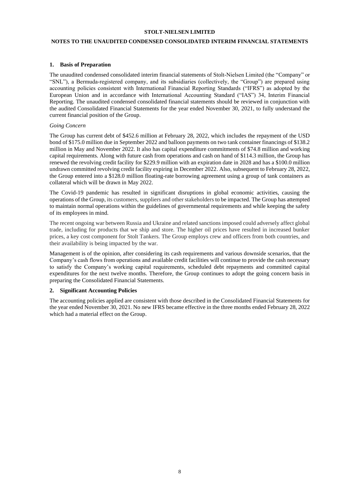## **NOTES TO THE UNAUDITED CONDENSED CONSOLIDATED INTERIM FINANCIAL STATEMENTS**

#### **1. Basis of Preparation**

The unaudited condensed consolidated interim financial statements of Stolt-Nielsen Limited (the "Company" or "SNL"), a Bermuda-registered company, and its subsidiaries (collectively, the "Group") are prepared using accounting policies consistent with International Financial Reporting Standards ("IFRS") as adopted by the European Union and in accordance with International Accounting Standard ("IAS") 34, Interim Financial Reporting. The unaudited condensed consolidated financial statements should be reviewed in conjunction with the audited Consolidated Financial Statements for the year ended November 30, 2021, to fully understand the current financial position of the Group.

#### *Going Concern*

The Group has current debt of \$452.6 million at February 28, 2022, which includes the repayment of the USD bond of \$175.0 million due in September 2022 and balloon payments on two tank container financings of \$138.2 million in May and November 2022. It also has capital expenditure commitments of \$74.8 million and working capital requirements. Along with future cash from operations and cash on hand of \$114.3 million, the Group has renewed the revolving credit facility for \$229.9 million with an expiration date in 2028 and has a \$100.0 million undrawn committed revolving credit facility expiring in December 2022. Also, subsequent to February 28, 2022, the Group entered into a \$128.0 million floating-rate borrowing agreement using a group of tank containers as collateral which will be drawn in May 2022.

The Covid-19 pandemic has resulted in significant disruptions in global economic activities, causing the operations of the Group, its customers, suppliers and other stakeholders to be impacted. The Group has attempted to maintain normal operations within the guidelines of governmental requirements and while keeping the safety of its employees in mind.

The recent ongoing war between Russia and Ukraine and related sanctions imposed could adversely affect global trade, including for products that we ship and store. The higher oil prices have resulted in increased bunker prices, a key cost component for Stolt Tankers. The Group employs crew and officers from both countries, and their availability is being impacted by the war.

Management is of the opinion, after considering its cash requirements and various downside scenarios, that the Company's cash flows from operations and available credit facilities will continue to provide the cash necessary to satisfy the Company's working capital requirements, scheduled debt repayments and committed capital expenditures for the next twelve months. Therefore, the Group continues to adopt the going concern basis in preparing the Consolidated Financial Statements.

#### **2. Significant Accounting Policies**

The accounting policies applied are consistent with those described in the Consolidated Financial Statements for the year ended November 30, 2021. No new IFRS became effective in the three months ended February 28, 2022 which had a material effect on the Group.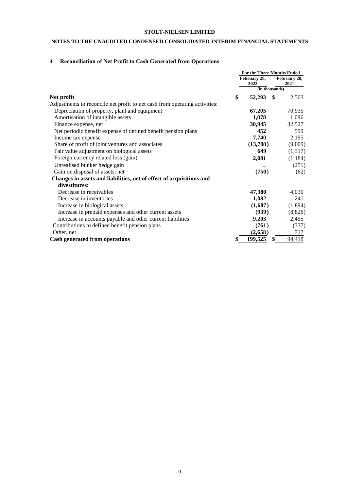## **NOTES TO THE UNAUDITED CONDENSED CONSOLIDATED INTERIM FINANCIAL STATEMENTS**

## **3. Reconciliation of Net Profit to Cash Generated from Operations**

|                                                                            |    | <b>For the Three Months Ended</b> |                |                      |  |
|----------------------------------------------------------------------------|----|-----------------------------------|----------------|----------------------|--|
|                                                                            |    | February 28,<br>2022              |                | February 28,<br>2021 |  |
|                                                                            |    |                                   | (in thousands) |                      |  |
| Net profit                                                                 | \$ | 52,293                            | - \$           | 2,503                |  |
| Adjustments to reconcile net profit to net cash from operating activities: |    |                                   |                |                      |  |
| Depreciation of property, plant and equipment                              |    | 67,205                            |                | 70,935               |  |
| Amortisation of intangible assets                                          |    | 1,078                             |                | 1,096                |  |
| Finance expense, net                                                       |    | 30,945                            |                | 32,527               |  |
| Net periodic benefit expense of defined benefit pension plans              |    | 452                               |                | 599                  |  |
| Income tax expense                                                         |    | 7,740                             |                | 2,195                |  |
| Share of profit of joint ventures and associates                           |    | (13,788)                          |                | (9,009)              |  |
| Fair value adjustment on biological assets                                 |    | 649                               |                | (1,317)              |  |
| Foreign currency related loss (gain)                                       |    | 2,081                             |                | (1, 184)             |  |
| Unrealised bunker hedge gain                                               |    |                                   |                | (251)                |  |
| Gain on disposal of assets, net                                            |    | (750)                             |                | (62)                 |  |
| Changes in assets and liabilities, net of effect of acquisitions and       |    |                                   |                |                      |  |
| divestitures:                                                              |    |                                   |                |                      |  |
| Decrease in receivables                                                    |    | 47,380                            |                | 4,030                |  |
| Decrease in inventories                                                    |    | 1,082                             |                | 241                  |  |
| Increase in biological assets                                              |    | (1,687)                           |                | (1,894)              |  |
| Increase in prepaid expenses and other current assets                      |    | (939)                             |                | (8, 826)             |  |
| Increase in accounts payable and other current liabilities                 |    | 9,203                             |                | 2,455                |  |
| Contributions to defined benefit pension plans                             |    | (761)                             |                | (337)                |  |
| Other, net                                                                 |    | (2,658)                           |                | 717                  |  |
| <b>Cash generated from operations</b>                                      |    | 199,525                           | \$.            | 94,418               |  |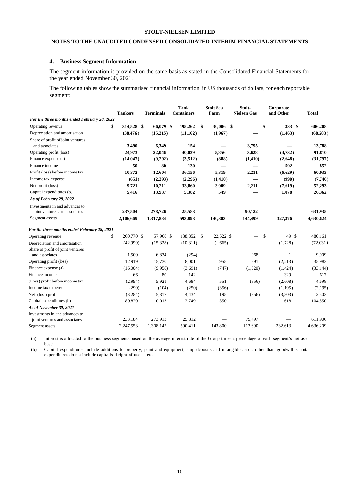## **NOTES TO THE UNAUDITED CONDENSED CONSOLIDATED INTERIM FINANCIAL STATEMENTS**

#### **4. Business Segment Information**

The segment information is provided on the same basis as stated in the Consolidated Financial Statements for the year ended November 30, 2021.

The following tables show the summarised financial information, in US thousands of dollars, for each reportable segment:

|                                              | <b>Tankers</b>   | <b>Terminals</b> | <b>Tank</b><br><b>Containers</b> | <b>Stolt Sea</b><br>Farm | Stolt-<br><b>Nielsen Gas</b> | Corporate<br>and Other | <b>Total</b> |
|----------------------------------------------|------------------|------------------|----------------------------------|--------------------------|------------------------------|------------------------|--------------|
| For the three months ended February 28, 2022 |                  |                  |                                  |                          |                              |                        |              |
| Operating revenue                            | 314,528 \$       | 66,079 \$        | 195,262                          | 30,006<br>\$             | -\$                          | 333S<br>-S             | 606,208      |
| Depreciation and amortisation                | (38, 476)        | (15,215)         | (11, 162)                        | (1,967)                  |                              | (1, 463)               | (68, 283)    |
| Share of profit of joint ventures            |                  |                  |                                  |                          |                              |                        |              |
| and associates                               | 3,490            | 6,349            | 154                              |                          | 3,795                        |                        | 13,788       |
| Operating profit (loss)                      | 24,973           | 22,046           | 40,039                           | 5,856                    | 3,628                        | (4,732)                | 91,810       |
| Finance expense (a)                          | (14, 047)        | (9,292)          | (3,512)                          | (888)                    | (1, 410)                     | (2,648)                | (31,797)     |
| Finance income                               | 50               | 80               | 130                              |                          |                              | 592                    | 852          |
| Profit (loss) before income tax              | 10,372           | 12,604           | 36,156                           | 5,319                    | 2,211                        | (6,629)                | 60,033       |
| Income tax expense                           | (651)            | (2,393)          | (2,296)                          | (1, 410)                 |                              | (990)                  | (7,740)      |
| Net profit (loss)                            | 9,721            | 10,211           | 33,860                           | 3,909                    | 2,211                        | (7,619)                | 52,293       |
| Capital expenditures (b)                     | 5,416            | 13,937           | 5,382                            | 549                      |                              | 1,078                  | 26,362       |
| As of February 28, 2022                      |                  |                  |                                  |                          |                              |                        |              |
| Investments in and advances to               |                  |                  |                                  |                          |                              |                        |              |
| joint ventures and associates                | 237,504          | 278,726          | 25,583                           |                          | 90,122                       |                        | 631,935      |
| Segment assets                               | 2,106,669        | 1,317,884        | 593,893                          | 140,303                  | 144,499                      | 327,376                | 4,630,624    |
| For the three months ended February 28, 2021 |                  |                  |                                  |                          |                              |                        |              |
| Operating revenue                            | \$<br>260,770 \$ | 57,968 \$        | 138,852                          | 22,522 \$<br>\$          |                              | 49 \$<br>\$            | 480,161      |
| Depreciation and amortisation                | (42,999)         | (15,328)         | (10,311)                         | (1,665)                  |                              | (1,728)                | (72,031)     |
| Share of profit of joint ventures            |                  |                  |                                  |                          |                              |                        |              |
| and associates                               | 1,500            | 6,834            | (294)                            |                          | 968                          | 1                      | 9,009        |
| Operating profit (loss)                      | 12,919           | 15,730           | 8,001                            | 955                      | 591                          | (2,213)                | 35,983       |
| Finance expense (a)                          | (16,004)         | (9,958)          | (3,691)                          | (747)                    | (1,320)                      | (1,424)                | (33, 144)    |
| Finance income                               | 66               | 80               | 142                              |                          |                              | 329                    | 617          |
| (Loss) profit before income tax              | (2,994)          | 5,921            | 4,684                            | 551                      | (856)                        | (2,608)                | 4,698        |
| Income tax expense                           | (290)            | (104)            | (250)                            | (356)                    |                              | (1, 195)               | (2,195)      |
| Net (loss) profit                            | (3,284)          | 5,817            | 4,434                            | 195                      | (856)                        | (3,803)                | 2,503        |
| Capital expenditures (b)                     | 89,820           | 10,013           | 2,749                            | 1,350                    |                              | 618                    | 104,550      |
| As of November 30, 2021                      |                  |                  |                                  |                          |                              |                        |              |
| Investments in and advances to               |                  |                  |                                  |                          |                              |                        |              |
| joint ventures and associates                | 233,184          | 273,913          | 25,312                           |                          | 79,497                       |                        | 611,906      |
| Segment assets                               | 2,247,553        | 1,308,142        | 590,411                          | 143,800                  | 113,690                      | 232,613                | 4,636,209    |

(a) Interest is allocated to the business segments based on the average interest rate of the Group times a percentage of each segment's net asset base.

(b) Capital expenditures include additions to property, plant and equipment, ship deposits and intangible assets other than goodwill. Capital expenditures do not include capitalised right-of-use assets.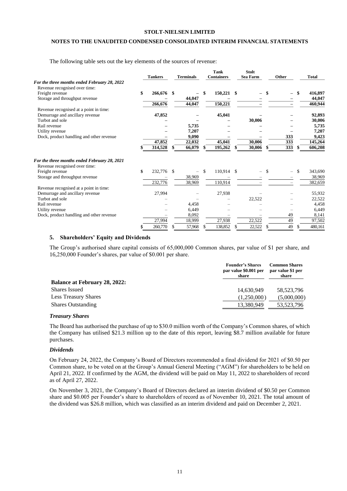## **NOTES TO THE UNAUDITED CONDENSED CONSOLIDATED INTERIM FINANCIAL STATEMENTS**

The following table sets out the key elements of the sources of revenue:

|                                                                               | <b>Tankers</b> |               | <b>Terminals</b>         |              | <b>Tank</b><br><b>Containers</b> |    | <b>Stolt</b><br><b>Sea Farm</b> | Other |     | Total   |
|-------------------------------------------------------------------------------|----------------|---------------|--------------------------|--------------|----------------------------------|----|---------------------------------|-------|-----|---------|
| For the three months ended February 28, 2022                                  |                |               |                          |              |                                  |    |                                 |       |     |         |
| Revenue recognised over time:                                                 |                |               |                          |              |                                  |    |                                 |       |     |         |
| Freight revenue                                                               | \$<br>266,676  | \$            |                          |              | 150,221                          | \$ |                                 | -     | \$  | 416,897 |
| Storage and throughput revenue                                                |                |               | 44,047                   |              |                                  |    |                                 |       |     | 44,047  |
|                                                                               | 266,676        |               | 44,047                   |              | 150,221                          |    |                                 |       |     | 460,944 |
| Revenue recognised at a point in time:                                        |                |               |                          |              |                                  |    |                                 |       |     |         |
| Demurrage and ancillary revenue                                               | 47,852         |               |                          |              | 45,041                           |    |                                 |       |     | 92,893  |
| Turbot and sole                                                               |                |               |                          |              |                                  |    | 30,006                          |       |     | 30,006  |
| Rail revenue                                                                  |                |               | 5,735                    |              |                                  |    |                                 |       |     | 5,735   |
| Utility revenue                                                               |                |               | 7,207                    |              |                                  |    |                                 |       |     | 7,207   |
| Dock, product handling and other revenue                                      |                |               | 9,090                    |              |                                  |    |                                 | 333   |     | 9,423   |
|                                                                               | 47,852         |               | 22,032                   |              | 45,041                           |    | 30,006                          | 333   |     | 145,264 |
|                                                                               | 314,528        | \$            | 66,079                   |              | 195,262                          |    | 30,006                          | 333   | S   | 606,208 |
| For the three months ended February 28, 2021<br>Revenue recognised over time: |                |               |                          |              |                                  |    |                                 |       |     |         |
| Freight revenue                                                               | \$<br>232,776  | <sup>\$</sup> | $\overline{\phantom{0}}$ | $\mathbf{s}$ | 110,914 \$                       |    | -                               | \$    | \$. | 343,690 |
| Storage and throughput revenue                                                |                |               | 38,969                   |              |                                  |    |                                 |       |     | 38,969  |
|                                                                               | 232,776        |               | 38,969                   |              | 110,914                          |    |                                 |       |     | 382,659 |
| Revenue recognised at a point in time:                                        |                |               |                          |              |                                  |    |                                 |       |     |         |
| Demurrage and ancillary revenue                                               | 27,994         |               |                          |              | 27,938                           |    |                                 |       |     | 55,932  |
| Turbot and sole                                                               |                |               |                          |              |                                  |    | 22,522                          |       |     | 22,522  |
| Rail revenue                                                                  |                |               | 4.458                    |              |                                  |    |                                 |       |     | 4,458   |
| Utility revenue                                                               |                |               | 6,449                    |              |                                  |    |                                 |       |     | 6,449   |
| Dock, product handling and other revenue                                      |                |               | 8,092                    |              |                                  |    |                                 | 49    |     | 8,141   |
|                                                                               | 27,994         |               | 18,999                   |              | 27,938                           |    | 22,522                          | 49    |     | 97,502  |
|                                                                               |                |               |                          |              |                                  |    |                                 | 49    |     |         |
|                                                                               | 260,770        | S             | 57,968                   | \$.          | 138,852                          | S  | 22,522                          | \$    | \$. | 480,161 |

#### **5. Shareholders' Equity and Dividends**

The Group's authorised share capital consists of 65,000,000 Common shares, par value of \$1 per share, and 16,250,000 Founder's shares, par value of \$0.001 per share.

|                                      | <b>Founder's Shares</b><br>par value \$0.001 per<br>share | <b>Common Shares</b><br>par value \$1 per<br>share |
|--------------------------------------|-----------------------------------------------------------|----------------------------------------------------|
| <b>Balance at February 28, 2022:</b> |                                                           |                                                    |
| <b>Shares Issued</b>                 | 14,630,949                                                | 58.523.796                                         |
| <b>Less Treasury Shares</b>          | (1,250,000)                                               | (5,000,000)                                        |
| <b>Shares Outstanding</b>            | 13,380,949                                                | 53,523,796                                         |

#### *Treasury Shares*

The Board has authorised the purchase of up to \$30.0 million worth of the Company's Common shares, of which the Company has utilised \$21.3 million up to the date of this report, leaving \$8.7 million available for future purchases.

#### *Dividends*

On February 24, 2022, the Company's Board of Directors recommended a final dividend for 2021 of \$0.50 per Common share, to be voted on at the Group's Annual General Meeting ("AGM") for shareholders to be held on April 21, 2022. If confirmed by the AGM, the dividend will be paid on May 11, 2022 to shareholders of record as of April 27, 2022.

On November 3, 2021, the Company's Board of Directors declared an interim dividend of \$0.50 per Common share and \$0.005 per Founder's share to shareholders of record as of November 10, 2021. The total amount of the dividend was \$26.8 million, which was classified as an interim dividend and paid on December 2, 2021.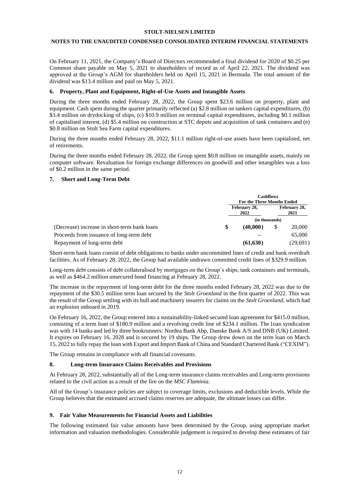#### **NOTES TO THE UNAUDITED CONDENSED CONSOLIDATED INTERIM FINANCIAL STATEMENTS**

On February 11, 2021, the Company's Board of Directors recommended a final dividend for 2020 of \$0.25 per Common share payable on May 5, 2021 to shareholders of record as of April 22, 2021. The dividend was approved at the Group's AGM for shareholders held on April 15, 2021 in Bermuda. The total amount of the dividend was \$13.4 million and paid on May 5, 2021.

#### **6. Property, Plant and Equipment, Right-of-Use Assets and Intangible Assets**

During the three months ended February 28, 2022, the Group spent \$23.6 million on property, plant and equipment. Cash spent during the quarter primarily reflected (a) \$2.8 million on tankers capital expenditures, (b) \$3.4 million on drydocking of ships, (c) \$10.9 million on terminal capital expenditures, including \$0.1 million of capitalised interest, (d) \$5.4 million on construction at STC depots and acquisition of tank containers and (e) \$0.8 million on Stolt Sea Farm capital expenditures.

During the three months ended February 28, 2022, \$11.1 million right-of-use assets have been capitalised, net of retirements.

During the three months ended February 28, 2022, the Group spent \$0.8 million on intangible assets, mainly on computer software. Revaluation for foreign exchange differences on goodwill and other intangibles was a loss of \$0.2 million in the same period.

#### **7. Short and Long-Term Debt**

|                                              |              | <b>Cashflows</b><br><b>For the Three Months Ended</b> |                      |          |  |  |
|----------------------------------------------|--------------|-------------------------------------------------------|----------------------|----------|--|--|
|                                              | February 28, |                                                       | February 28,<br>2021 |          |  |  |
|                                              |              | (in thousands)                                        |                      |          |  |  |
| (Decrease) increase in short-term bank loans |              | (40,000)                                              |                      | 20,000   |  |  |
| Proceeds from issuance of long-term debt     |              |                                                       |                      | 65,000   |  |  |
| Repayment of long-term debt                  |              | (61, 630)                                             |                      | (29,691) |  |  |

Short-term bank loans consist of debt obligations to banks under uncommitted lines of credit and bank overdraft facilities. As of February 28, 2022, the Group had available undrawn committed credit lines of \$329.9 million.

Long-term debt consists of debt collateralised by mortgages on the Group's ships, tank containers and terminals, as well as \$464.2 million unsecured bond financing at February 28, 2022.

The increase in the repayment of long-term debt for the three months ended February 28, 2022 was due to the repayment of the \$30.5 million term loan secured by the *Stolt Groenland* in the first quarter of 2022. This was the result of the Group settling with its hull and machinery insurers for claims on the *Stolt Groenland*, which had an explosion onboard in 2019.

On February 16, 2022, the Group entered into a sustainability-linked secured loan agreement for \$415.0 million, consisting of a term loan of \$180.9 million and a revolving credit line of \$234.1 million. The loan syndication was with 14 banks and led by three bookrunners: Nordea Bank Abp, Danske Bank A/S and DNB (UK) Limited. It expires on February 16, 2028 and is secured by 19 ships. The Group drew down on the term loan on March 15, 2022 to fully repay the loan with Export and Import Bank of China and Standard Chartered Bank ("CEXIM").

The Group remains in compliance with all financial covenants.

#### **8. Long-term Insurance Claims Receivables and Provisions**

At February 28, 2022, substantially all of the Long-term insurance claims receivables and Long-term provisions related to the civil action as a result of the fire on the *MSC Flaminia*.

All of the Group's insurance policies are subject to coverage limits, exclusions and deductible levels. While the Group believes that the estimated accrued claims reserves are adequate, the ultimate losses can differ.

#### **9. Fair Value Measurements for Financial Assets and Liabilities**

The following estimated fair value amounts have been determined by the Group, using appropriate market information and valuation methodologies. Considerable judgement is required to develop these estimates of fair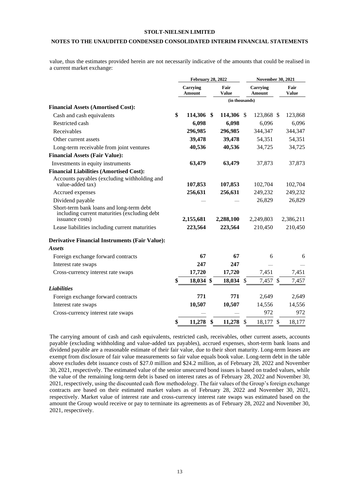## **NOTES TO THE UNAUDITED CONDENSED CONSOLIDATED INTERIM FINANCIAL STATEMENTS**

value, thus the estimates provided herein are not necessarily indicative of the amounts that could be realised in a current market exchange:

|                                                                                                             | <b>February 28, 2022</b>  |    |                      | <b>November 30, 2021</b> |                           |    |               |  |
|-------------------------------------------------------------------------------------------------------------|---------------------------|----|----------------------|--------------------------|---------------------------|----|---------------|--|
|                                                                                                             | Carrying<br><b>Amount</b> |    | Fair<br><b>Value</b> |                          | Carrying<br><b>Amount</b> |    | Fair<br>Value |  |
|                                                                                                             |                           |    | (in thousands)       |                          |                           |    |               |  |
| <b>Financial Assets (Amortised Cost):</b>                                                                   |                           |    |                      |                          |                           |    |               |  |
| Cash and cash equivalents                                                                                   | \$<br>114,306             | \$ | 114,306 \$           |                          | 123,868 \$                |    | 123,868       |  |
| Restricted cash                                                                                             | 6,098                     |    | 6,098                |                          | 6,096                     |    | 6,096         |  |
| Receivables                                                                                                 | 296,985                   |    | 296,985              |                          | 344,347                   |    | 344,347       |  |
| Other current assets                                                                                        | 39,478                    |    | 39,478               |                          | 54,351                    |    | 54,351        |  |
| Long-term receivable from joint ventures                                                                    | 40,536                    |    | 40,536               |                          | 34,725                    |    | 34,725        |  |
| <b>Financial Assets (Fair Value):</b>                                                                       |                           |    |                      |                          |                           |    |               |  |
| Investments in equity instruments                                                                           | 63,479                    |    | 63,479               |                          | 37,873                    |    | 37,873        |  |
| <b>Financial Liabilities (Amortised Cost):</b>                                                              |                           |    |                      |                          |                           |    |               |  |
| Accounts payables (excluding withholding and<br>value-added tax)                                            | 107,853                   |    | 107,853              |                          | 102,704                   |    | 102,704       |  |
| Accrued expenses                                                                                            | 256,631                   |    | 256,631              |                          | 249,232                   |    | 249,232       |  |
| Dividend payable                                                                                            |                           |    |                      |                          | 26,829                    |    | 26,829        |  |
| Short-term bank loans and long-term debt<br>including current maturities (excluding debt<br>issuance costs) | 2,155,681                 |    | 2,288,100            |                          | 2,249,803                 |    | 2,386,211     |  |
| Lease liabilities including current maturities                                                              | 223,564                   |    | 223,564              |                          | 210,450                   |    | 210,450       |  |
|                                                                                                             |                           |    |                      |                          |                           |    |               |  |
| <b>Derivative Financial Instruments (Fair Value):</b>                                                       |                           |    |                      |                          |                           |    |               |  |
| <b>Assets</b>                                                                                               |                           |    |                      |                          |                           |    |               |  |
| Foreign exchange forward contracts                                                                          | 67                        |    | 67                   |                          | 6                         |    | 6             |  |
| Interest rate swaps                                                                                         | 247                       |    | 247                  |                          |                           |    |               |  |
| Cross-currency interest rate swaps                                                                          | 17,720                    |    | 17,720               |                          | 7,451                     |    | 7,451         |  |
|                                                                                                             | 18,034 \$                 |    | 18,034               | \$                       | 7,457                     | \$ | 7,457         |  |
| <b>Liabilities</b>                                                                                          |                           |    |                      |                          |                           |    |               |  |
| Foreign exchange forward contracts                                                                          | 771                       |    | 771                  |                          | 2,649                     |    | 2,649         |  |
| Interest rate swaps                                                                                         | 10,507                    |    | 10,507               |                          | 14,556                    |    | 14,556        |  |
| Cross-currency interest rate swaps                                                                          |                           |    |                      |                          | 972                       |    | 972           |  |
|                                                                                                             | \$<br>11,278              | \$ | 11,278               | $\mathcal{S}$            | 18,177                    | \$ | 18,177        |  |

The carrying amount of cash and cash equivalents, restricted cash, receivables, other current assets, accounts payable (excluding withholding and value-added tax payables), accrued expenses, short-term bank loans and dividend payable are a reasonable estimate of their fair value, due to their short maturity. Long-term leases are exempt from disclosure of fair value measurements so fair value equals book value. Long-term debt in the table above excludes debt issuance costs of \$27.0 million and \$24.2 million, as of February 28, 2022 and November 30, 2021, respectively. The estimated value of the senior unsecured bond issues is based on traded values, while the value of the remaining long-term debt is based on interest rates as of February 28, 2022 and November 30, 2021, respectively, using the discounted cash flow methodology. The fair values of the Group's foreign exchange contracts are based on their estimated market values as of February 28, 2022 and November 30, 2021, respectively. Market value of interest rate and cross-currency interest rate swaps was estimated based on the amount the Group would receive or pay to terminate its agreements as of February 28, 2022 and November 30, 2021, respectively.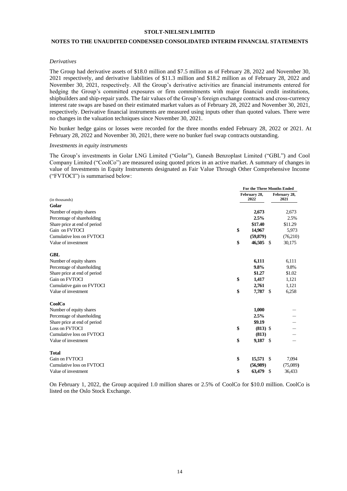#### **NOTES TO THE UNAUDITED CONDENSED CONSOLIDATED INTERIM FINANCIAL STATEMENTS**

#### *Derivatives*

The Group had derivative assets of \$18.0 million and \$7.5 million as of February 28, 2022 and November 30, 2021 respectively, and derivative liabilities of \$11.3 million and \$18.2 million as of February 28, 2022 and November 30, 2021, respectively. All the Group's derivative activities are financial instruments entered for hedging the Group's committed exposures or firm commitments with major financial credit institutions, shipbuilders and ship-repair yards. The fair values of the Group's foreign exchange contracts and cross-currency interest rate swaps are based on their estimated market values as of February 28, 2022 and November 30, 2021, respectively. Derivative financial instruments are measured using inputs other than quoted values. There were no changes in the valuation techniques since November 30, 2021.

No bunker hedge gains or losses were recorded for the three months ended February 28, 2022 or 2021. At February 28, 2022 and November 30, 2021, there were no bunker fuel swap contracts outstanding.

#### *Investments in equity instruments*

The Group's investments in Golar LNG Limited ("Golar"), Ganesh Benzoplast Limited ("GBL") and Cool Company Limited ("CoolCo") are measured using quoted prices in an active market. A summary of changes in value of Investments in Equity Instruments designated as Fair Value Through Other Comprehensive Income ("FVTOCI") is summarised below:

|                              |                      | For the Three Months Ended |                      |  |
|------------------------------|----------------------|----------------------------|----------------------|--|
| (in thousands)               | February 28,<br>2022 |                            | February 28,<br>2021 |  |
| Golar                        |                      |                            |                      |  |
| Number of equity shares      |                      | 2,673                      | 2,673                |  |
| Percentage of shareholding   |                      | 2.5%                       | 2.5%                 |  |
| Share price at end of period |                      | \$17.40                    | \$11.29              |  |
| Gain on FVTOCI               | \$                   | 14,967                     | 5,973                |  |
| Cumulative loss on FVTOCI    |                      | (59,879)                   | (76,210)             |  |
| Value of investment          | \$                   | 46,505<br>- \$             | 30,175               |  |
| <b>GBL</b>                   |                      |                            |                      |  |
| Number of equity shares      |                      | 6,111                      | 6,111                |  |
| Percentage of shareholding   |                      | 9.8%                       | 9.8%                 |  |
| Share price at end of period |                      | \$1.27                     | \$1.02               |  |
| Gain on FVTOCI               | \$                   | 1,417                      | 1,121                |  |
| Cumulative gain on FVTOCI    |                      | 2,761                      | 1,121                |  |
| Value of investment          | \$                   | 7,787 \$                   | 6,258                |  |
| CoolCo                       |                      |                            |                      |  |
| Number of equity shares      |                      | 1,000                      |                      |  |
| Percentage of shareholding   |                      | 2.5%                       |                      |  |
| Share price at end of period |                      | \$9.19                     |                      |  |
| Loss on FVTOCI               | \$                   | $(813)$ \$                 |                      |  |
| Cumulative loss on FVTOCI    |                      | (813)                      |                      |  |
| Value of investment          | \$                   | 9,187 \$                   |                      |  |
| <b>Total</b>                 |                      |                            |                      |  |
| Gain on FVTOCI               | \$                   | 15,571 \$                  | 7,094                |  |
| Cumulative loss on FVTOCI    |                      | (56,989)                   | (75,089)             |  |
| Value of investment          | \$                   | 63,479<br>\$               | 36,433               |  |

On February 1, 2022, the Group acquired 1.0 million shares or 2.5% of CoolCo for \$10.0 million. CoolCo is listed on the Oslo Stock Exchange.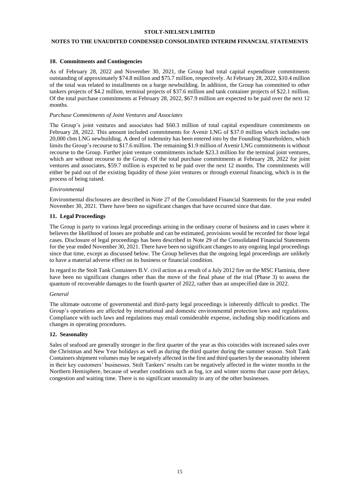## **NOTES TO THE UNAUDITED CONDENSED CONSOLIDATED INTERIM FINANCIAL STATEMENTS**

#### **10. Commitments and Contingencies**

As of February 28, 2022 and November 30, 2021, the Group had total capital expenditure commitments outstanding of approximately \$74.8 million and \$75.7 million, respectively. At February 28, 2022, \$10.4 million of the total was related to installments on a barge newbuilding. In addition, the Group has committed to other tankers projects of \$4.2 million, terminal projects of \$37.6 million and tank container projects of \$22.1 million. Of the total purchase commitments at February 28, 2022, \$67.9 million are expected to be paid over the next 12 months.

#### *Purchase Commitments of Joint Ventures and Associates*

The Group's joint ventures and associates had \$60.3 million of total capital expenditure commitments on February 28, 2022. This amount included commitments for Avenir LNG of \$37.0 million which includes one 20,000 cbm LNG newbuilding. A deed of indemnity has been entered into by the Founding Shareholders, which limits the Group's recourse to \$17.6 million. The remaining \$1.9 million of Avenir LNG commitments is without recourse to the Group. Further joint venture commitments include \$23.3 million for the terminal joint ventures, which are without recourse to the Group. Of the total purchase commitments at February 28, 2022 for joint ventures and associates, \$59.7 million is expected to be paid over the next 12 months. The commitments will either be paid out of the existing liquidity of those joint ventures or through external financing, which is in the process of being raised.

#### *Environmental*

Environmental disclosures are described in Note 27 of the Consolidated Financial Statements for the year ended November 30, 2021. There have been no significant changes that have occurred since that date.

#### **11. Legal Proceedings**

The Group is party to various legal proceedings arising in the ordinary course of business and in cases where it believes the likelihood of losses are probable and can be estimated, provisions would be recorded for those legal cases. Disclosure of legal proceedings has been described in Note 29 of the Consolidated Financial Statements for the year ended November 30, 2021. There have been no significant changes to any ongoing legal proceedings since that time, except as discussed below. The Group believes that the ongoing legal proceedings are unlikely to have a material adverse effect on its business or financial condition.

In regard to the Stolt Tank Containers B.V. civil action as a result of a July 2012 fire on the MSC Flaminia, there have been no significant changes other than the move of the final phase of the trial (Phase 3) to assess the quantum of recoverable damages to the fourth quarter of 2022, rather than an unspecified date in 2022.

#### *General*

The ultimate outcome of governmental and third-party legal proceedings is inherently difficult to predict. The Group's operations are affected by international and domestic environmental protection laws and regulations. Compliance with such laws and regulations may entail considerable expense, including ship modifications and changes in operating procedures.

#### **12. Seasonality**

Sales of seafood are generally stronger in the first quarter of the year as this coincides with increased sales over the Christmas and New Year holidays as well as during the third quarter during the summer season. Stolt Tank Containers shipment volumes may be negatively affected in the first and third quarters by the seasonality inherent in their key customers' businesses. Stolt Tankers' results can be negatively affected in the winter months in the Northern Hemisphere, because of weather conditions such as fog, ice and winter storms that cause port delays, congestion and waiting time. There is no significant seasonality in any of the other businesses.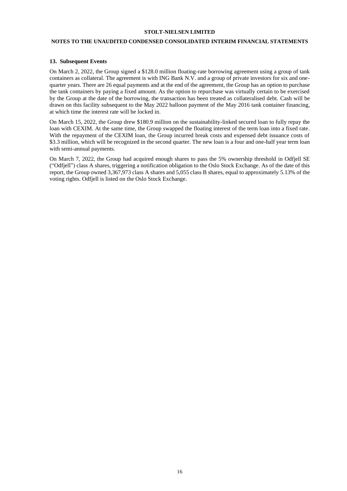## **NOTES TO THE UNAUDITED CONDENSED CONSOLIDATED INTERIM FINANCIAL STATEMENTS**

#### **13. Subsequent Events**

On March 2, 2022, the Group signed a \$128.0 million floating-rate borrowing agreement using a group of tank containers as collateral. The agreement is with ING Bank N.V. and a group of private investors for six and onequarter years. There are 26 equal payments and at the end of the agreement, the Group has an option to purchase the tank containers by paying a fixed amount. As the option to repurchase was virtually certain to be exercised by the Group at the date of the borrowing, the transaction has been treated as collateralised debt. Cash will be drawn on this facility subsequent to the May 2022 balloon payment of the May 2016 tank container financing, at which time the interest rate will be locked in.

On March 15, 2022, the Group drew \$180.9 million on the sustainability-linked secured loan to fully repay the loan with CEXIM. At the same time, the Group swapped the floating interest of the term loan into a fixed rate. With the repayment of the CEXIM loan, the Group incurred break costs and expensed debt issuance costs of \$3.3 million, which will be recognized in the second quarter. The new loan is a four and one-half year term loan with semi-annual payments.

On March 7, 2022, the Group had acquired enough shares to pass the 5% ownership threshold in Odfjell SE ("Odfjell") class A shares, triggering a notification obligation to the Oslo Stock Exchange. As of the date of this report, the Group owned 3,367,973 class A shares and 5,055 class B shares, equal to approximately 5.13% of the voting rights. Odfjell is listed on the Oslo Stock Exchange.